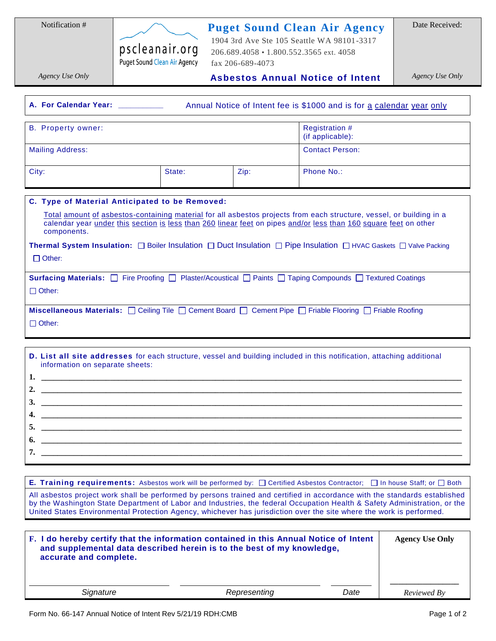**Puget Sound Clean Air Agency**

pscleanair.org Puget Sound Clean Air Agency

 1904 3rd Ave Ste 105 Seattle WA 98101-3317 206.689.4058 • 1.800.552.3565 ext. 4058 fax 206-689-4073

*Agency Use Only*

 **Asbestos Annual Notice of Intent**

*Agency Use Only*

| A. For Calendar Year: _________<br>Annual Notice of Intent fee is \$1000 and is for a calendar year only                                                                                                                                                                                                                                                                                                                                                                                                                                                                                                                                                                                                    |        |              |                                           |             |
|-------------------------------------------------------------------------------------------------------------------------------------------------------------------------------------------------------------------------------------------------------------------------------------------------------------------------------------------------------------------------------------------------------------------------------------------------------------------------------------------------------------------------------------------------------------------------------------------------------------------------------------------------------------------------------------------------------------|--------|--------------|-------------------------------------------|-------------|
| <b>B.</b> Property owner:                                                                                                                                                                                                                                                                                                                                                                                                                                                                                                                                                                                                                                                                                   |        |              | <b>Registration #</b><br>(if applicable): |             |
| <b>Mailing Address:</b>                                                                                                                                                                                                                                                                                                                                                                                                                                                                                                                                                                                                                                                                                     |        |              | <b>Contact Person:</b>                    |             |
| City:                                                                                                                                                                                                                                                                                                                                                                                                                                                                                                                                                                                                                                                                                                       | State: | Zip:         | Phone No.:                                |             |
| C. Type of Material Anticipated to be Removed:<br>Total amount of asbestos-containing material for all asbestos projects from each structure, vessel, or building in a<br>calendar year under this section is less than 260 linear feet on pipes and/or less than 160 square feet on other<br>components.<br>Thermal System Insulation: □ Boiler Insulation □ Duct Insulation □ Pipe Insulation □ HVAC Gaskets □ Valve Packing<br>$\Box$ Other:<br>Surfacing Materials: □ Fire Proofing □ Plaster/Acoustical □ Paints □ Taping Compounds □ Textured Coatings<br>$\Box$ Other:<br>Miscellaneous Materials: C Ceiling Tile C Cement Board C Cement Pipe C Friable Flooring C Friable Roofing<br>$\Box$ Other: |        |              |                                           |             |
| D. List all site addresses for each structure, vessel and building included in this notification, attaching additional<br>information on separate sheets:                                                                                                                                                                                                                                                                                                                                                                                                                                                                                                                                                   |        |              |                                           |             |
| E. Training requirements: Asbestos work will be performed by: $\Box$ Certified Asbestos Contractor;<br>□ In house Staff; or □ Both<br>All asbestos project work shall be performed by persons trained and certified in accordance with the standards established<br>by the Washington State Department of Labor and Industries, the federal Occupation Health & Safety Administration, or the<br>United States Environmental Protection Agency, whichever has jurisdiction over the site where the work is performed.<br>F. I do hereby certify that the information contained in this Annual Notice of Intent<br><b>Agency Use Only</b>                                                                    |        |              |                                           |             |
| and supplemental data described herein is to the best of my knowledge,<br>accurate and complete.                                                                                                                                                                                                                                                                                                                                                                                                                                                                                                                                                                                                            |        |              |                                           |             |
| Signature                                                                                                                                                                                                                                                                                                                                                                                                                                                                                                                                                                                                                                                                                                   |        | Representing | Date                                      | Reviewed By |